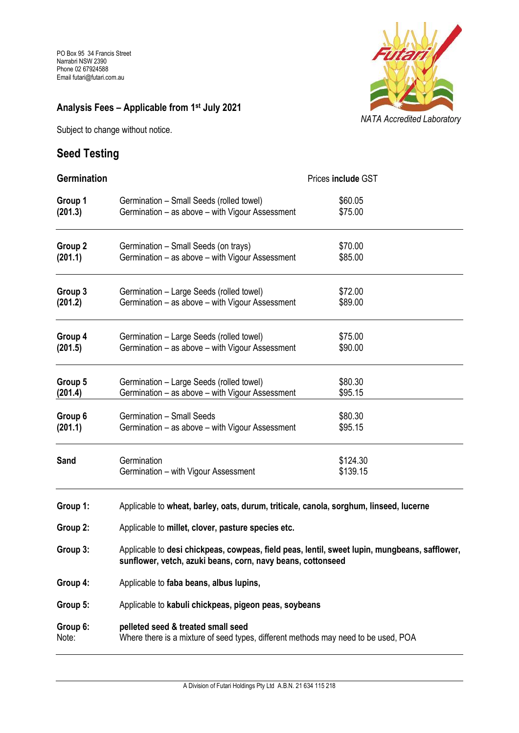### **Analysis Fees – Applicable from 1 st July 2021**

Subject to change without notice.

## **Seed Testing**



| <b>Germination</b> | Prices include GST                                                                                                                                           |                      |  |
|--------------------|--------------------------------------------------------------------------------------------------------------------------------------------------------------|----------------------|--|
| Group 1            | Germination - Small Seeds (rolled towel)                                                                                                                     | \$60.05              |  |
| (201.3)            | Germination – as above – with Vigour Assessment                                                                                                              | \$75.00              |  |
| Group 2            | Germination - Small Seeds (on trays)                                                                                                                         | \$70.00              |  |
| (201.1)            | Germination - as above - with Vigour Assessment                                                                                                              | \$85.00              |  |
| Group 3            | Germination - Large Seeds (rolled towel)                                                                                                                     | \$72.00              |  |
| (201.2)            | Germination - as above - with Vigour Assessment                                                                                                              | \$89.00              |  |
| Group 4            | Germination - Large Seeds (rolled towel)                                                                                                                     | \$75.00              |  |
| (201.5)            | Germination – as above – with Vigour Assessment                                                                                                              | \$90.00              |  |
| Group 5            | Germination - Large Seeds (rolled towel)                                                                                                                     | \$80.30              |  |
| (201.4)            | Germination - as above - with Vigour Assessment                                                                                                              | \$95.15              |  |
| Group 6            | Germination - Small Seeds                                                                                                                                    | \$80.30              |  |
| (201.1)            | Germination – as above – with Vigour Assessment                                                                                                              | \$95.15              |  |
| Sand               | Germination<br>Germination - with Vigour Assessment                                                                                                          | \$124.30<br>\$139.15 |  |
| Group 1:           | Applicable to wheat, barley, oats, durum, triticale, canola, sorghum, linseed, lucerne                                                                       |                      |  |
| Group 2:           | Applicable to millet, clover, pasture species etc.                                                                                                           |                      |  |
| Group 3:           | Applicable to desi chickpeas, cowpeas, field peas, lentil, sweet lupin, mungbeans, safflower,<br>sunflower, vetch, azuki beans, corn, navy beans, cottonseed |                      |  |
| Group 4:           | Applicable to faba beans, albus lupins,                                                                                                                      |                      |  |
| Group 5:           | Applicable to kabuli chickpeas, pigeon peas, soybeans                                                                                                        |                      |  |
| Group 6:           | pelleted seed & treated small seed                                                                                                                           |                      |  |
| Note:              | Where there is a mixture of seed types, different methods may need to be used, POA                                                                           |                      |  |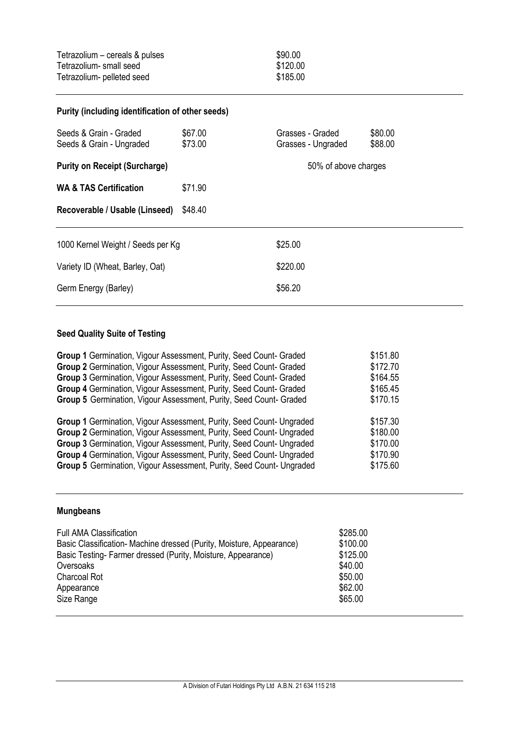| Purity (including identification of other seeds)   |                    |                                        |                    |  |  |
|----------------------------------------------------|--------------------|----------------------------------------|--------------------|--|--|
| Seeds & Grain - Graded<br>Seeds & Grain - Ungraded | \$67.00<br>\$73.00 | Grasses - Graded<br>Grasses - Ungraded | \$80.00<br>\$88.00 |  |  |
| <b>Purity on Receipt (Surcharge)</b>               |                    | 50% of above charges                   |                    |  |  |
| <b>WA &amp; TAS Certification</b>                  | \$71.90            |                                        |                    |  |  |
| Recoverable / Usable (Linseed)                     | \$48.40            |                                        |                    |  |  |
| 1000 Kernel Weight / Seeds per Kg                  |                    | \$25.00                                |                    |  |  |
| Variety ID (Wheat, Barley, Oat)                    |                    | \$220.00                               |                    |  |  |
| Germ Energy (Barley)                               |                    | \$56.20                                |                    |  |  |

#### **Seed Quality Suite of Testing**

| Group 1 Germination, Vigour Assessment, Purity, Seed Count- Graded   | \$151.80 |
|----------------------------------------------------------------------|----------|
| Group 2 Germination, Vigour Assessment, Purity, Seed Count- Graded   | \$172.70 |
| Group 3 Germination, Vigour Assessment, Purity, Seed Count- Graded   | \$164.55 |
| Group 4 Germination, Vigour Assessment, Purity, Seed Count- Graded   | \$165.45 |
| Group 5 Germination, Vigour Assessment, Purity, Seed Count- Graded   | \$170.15 |
| Group 1 Germination, Vigour Assessment, Purity, Seed Count- Ungraded | \$157.30 |
| Group 2 Germination, Vigour Assessment, Purity, Seed Count- Ungraded | \$180.00 |
| Group 3 Germination, Vigour Assessment, Purity, Seed Count- Ungraded | \$170.00 |
| Group 4 Germination, Vigour Assessment, Purity, Seed Count- Ungraded | \$170.90 |
| Group 5 Germination, Vigour Assessment, Purity, Seed Count- Ungraded | \$175.60 |

#### **Mungbeans**

| <b>Full AMA Classification</b>                                       | \$285.00 |  |
|----------------------------------------------------------------------|----------|--|
| Basic Classification- Machine dressed (Purity, Moisture, Appearance) | \$100.00 |  |
| Basic Testing-Farmer dressed (Purity, Moisture, Appearance)          | \$125.00 |  |
| Oversoaks                                                            | \$40.00  |  |
| <b>Charcoal Rot</b>                                                  | \$50.00  |  |
| Appearance                                                           | \$62.00  |  |
| Size Range                                                           | \$65.00  |  |
|                                                                      |          |  |